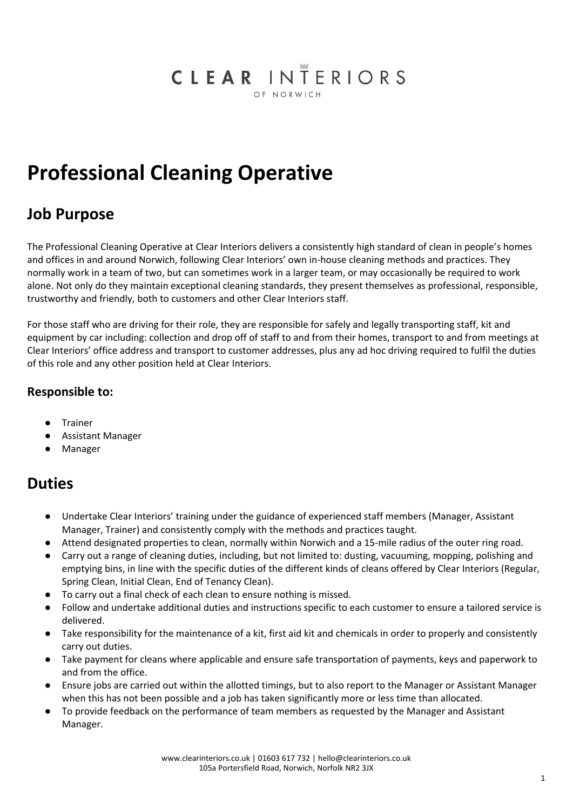#### CLEAR INTERIORS OF NORWICH

# **Professional Cleaning Operative**

### **Job Purpose**

The Professional Cleaning Operative at Clear Interiors delivers a consistently high standard of clean in people's homes and offices in and around Norwich, following Clear Interiors' own in-house cleaning methods and practices. They normally work in a team of two, but can sometimes work in a larger team, or may occasionally be required to work alone. Not only do they maintain exceptional cleaning standards, they present themselves as professional, responsible, trustworthy and friendly, both to customers and other Clear Interiors staff.

For those staff who are driving for their role, they are responsible for safely and legally transporting staff, kit and equipment by car including: collection and drop off of staff to and from their homes, transport to and from meetings at Clear Interiors' office address and transport to customer addresses, plus any ad hoc driving required to fulfil the duties of this role and any other position held at Clear Interiors.

#### **Responsible to:**

- Trainer
- Assistant Manager
- Manager

#### **Duties**

- Undertake Clear Interiors' training under the guidance of experienced staff members (Manager, Assistant Manager, Trainer) and consistently comply with the methods and practices taught.
- Attend designated properties to clean, normally within Norwich and a 15-mile radius of the outer ring road.
- Carry out a range of cleaning duties, including, but not limited to: dusting, vacuuming, mopping, polishing and emptying bins, in line with the specific duties of the different kinds of cleans offered by Clear Interiors (Regular, Spring Clean, Initial Clean, End of Tenancy Clean).
- To carry out a final check of each clean to ensure nothing is missed.
- Follow and undertake additional duties and instructions specific to each customer to ensure a tailored service is delivered.
- Take responsibility for the maintenance of a kit, first aid kit and chemicals in order to properly and consistently carry out duties.
- Take payment for cleans where applicable and ensure safe transportation of payments, keys and paperwork to and from the office.
- Ensure jobs are carried out within the allotted timings, but to also report to the Manager or Assistant Manager when this has not been possible and a job has taken significantly more or less time than allocated.
- To provide feedback on the performance of team members as requested by the Manager and Assistant Manager.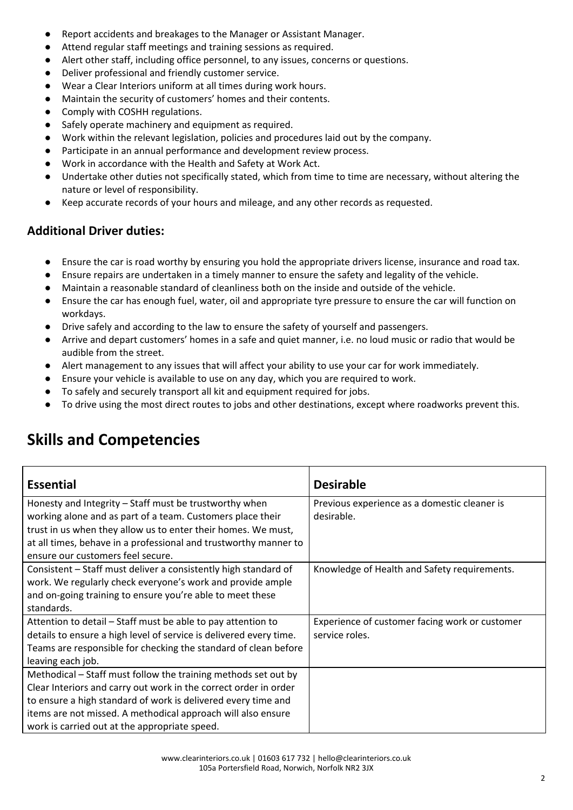- Report accidents and breakages to the Manager or Assistant Manager.
- Attend regular staff meetings and training sessions as required.
- Alert other staff, including office personnel, to any issues, concerns or questions.
- Deliver professional and friendly customer service.
- Wear a Clear Interiors uniform at all times during work hours.
- Maintain the security of customers' homes and their contents.
- Comply with COSHH regulations.
- Safely operate machinery and equipment as required.
- Work within the relevant legislation, policies and procedures laid out by the company.
- Participate in an annual performance and development review process.
- Work in accordance with the Health and Safety at Work Act.
- Undertake other duties not specifically stated, which from time to time are necessary, without altering the nature or level of responsibility.
- Keep accurate records of your hours and mileage, and any other records as requested.

#### **Additional Driver duties:**

- Ensure the car is road worthy by ensuring you hold the appropriate drivers license, insurance and road tax.
- Ensure repairs are undertaken in a timely manner to ensure the safety and legality of the vehicle.
- Maintain a reasonable standard of cleanliness both on the inside and outside of the vehicle.
- Ensure the car has enough fuel, water, oil and appropriate tyre pressure to ensure the car will function on workdays.
- Drive safely and according to the law to ensure the safety of yourself and passengers.
- Arrive and depart customers' homes in a safe and quiet manner, i.e. no loud music or radio that would be audible from the street.
- Alert management to any issues that will affect your ability to use your car for work immediately.
- Ensure your vehicle is available to use on any day, which you are required to work.
- To safely and securely transport all kit and equipment required for jobs.
- To drive using the most direct routes to jobs and other destinations, except where roadworks prevent this.

#### **Essential Desirable** Honesty and Integrity – Staff must be trustworthy when working alone and as part of a team. Customers place their trust in us when they allow us to enter their homes. We must, at all times, behave in a professional and trustworthy manner to ensure our customers feel secure. Previous experience as a domestic cleaner is desirable. Consistent – Staff must deliver a consistently high standard of work. We regularly check everyone's work and provide ample and on-going training to ensure you're able to meet these standards. Knowledge of Health and Safety requirements. Attention to detail – Staff must be able to pay attention to details to ensure a high level of service is delivered every time. Teams are responsible for checking the standard of clean before leaving each job. Experience of customer facing work or customer service roles. Methodical – Staff must follow the training methods set out by Clear Interiors and carry out work in the correct order in order to ensure a high standard of work is delivered every time and items are not missed. A methodical approach will also ensure work is carried out at the appropriate speed.

## **Skills and Competencies**